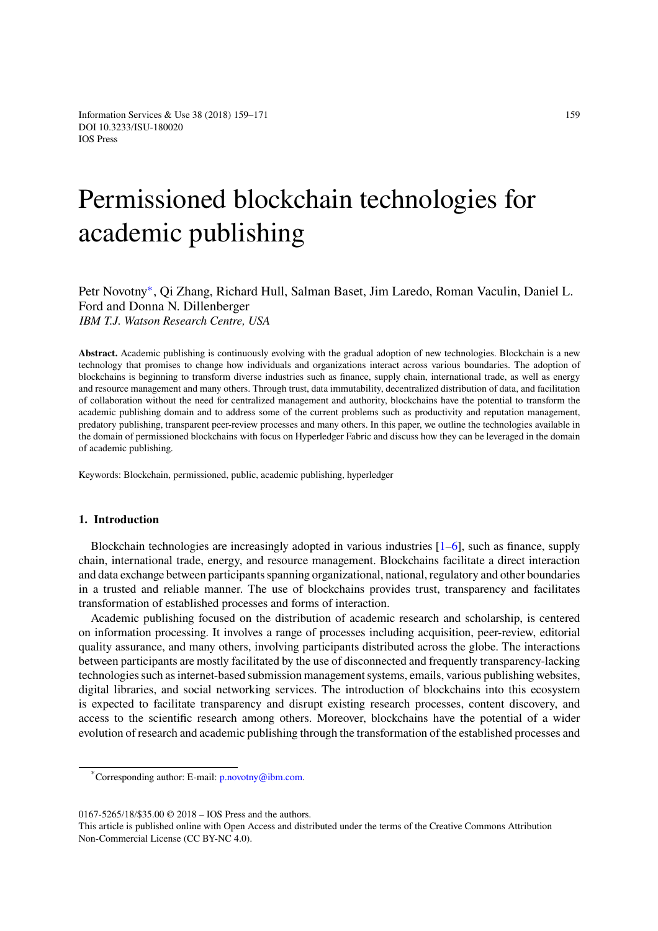# P[ermissio](http://dx.doi.org/10.3233/ISU-180020)ned blockchain technologies for academic publishing

Petr Novotny<sup>∗</sup> , Qi Zhang, Richard Hull, Salman Baset, Jim Laredo, Roman Vaculin, Daniel L. Ford and Donna N. Dillenberger *IBM T.J. Watson Research Centre, USA*

**Abstract.** Academic publishing is continuously evolving with the gradual adoption of new technologies. Blockchain is a new technology that promises to change how individuals and organizations interact across various boundaries. The adoption of blockchains is beginning to transform diverse industries such as finance, supply chain, international trade, as well as energy and resource management and many others. Through trust, data immutability, decentralized distribution of data, and facilitation of collaboration without the need for centralized management and authority, blockchains have the potential to transform the academic publishing domain and to address some of the current problems such as productivity and reputation management, predatory publishing, transparent peer-review processes and many others. In this paper, we outline the technologies available in the domain of permissioned blockchains with focus on Hyperledger Fabric and discuss how they can be leveraged in the domain of academic publishing.

Keywords: Blockchain, permissioned, public, academic publishing, hyperledger

#### **1. Introduction**

Blockchain technologies are increasingly adopted in various industries [1–6], such as finance, supply chain, international trade, energy, and resource management. Blockchains facilitate a direct interaction and data exchange between participants spanning organizational, national, regulatory and other boundaries in a trusted and reliable manner. The use of blockchains provides trust, transparency and facilitates transformation of established processes and forms of interaction.

Academic publishing focused on the distribution of academic research and scholarship, is centered on information processing. It involves a range of processes including acquisition, peer-review, editorial quality assurance, and many others, involving participants distributed across the globe. The interactions between participants are mostly facilitated by the use of disconnected and frequently transparency-lacking technologies such as internet-based submission management systems, emails, various publishing websites, digital libraries, and social networking services. The introduction of blockchains into this ecosystem is expected to facilitate transparency and disrupt existing research processes, content discovery, and access to the scientific research among others. Moreover, blockchains have the potential of a wider evolution of research and academic publishing through the transformation of the established processes and

<sup>\*</sup>Corresponding author: E-mail:  $p\text{.novotny@ibm.com.}$ 

<sup>0167-5265/18/\$35.00 © 2018 –</sup> IOS Press and the authors.

This article is published online wit[h Open Access and dis](mailto:p.novotny@ibm.com)tributed under the terms of the Creative Commons Attribution Non-Commercial License (CC BY-NC 4.0).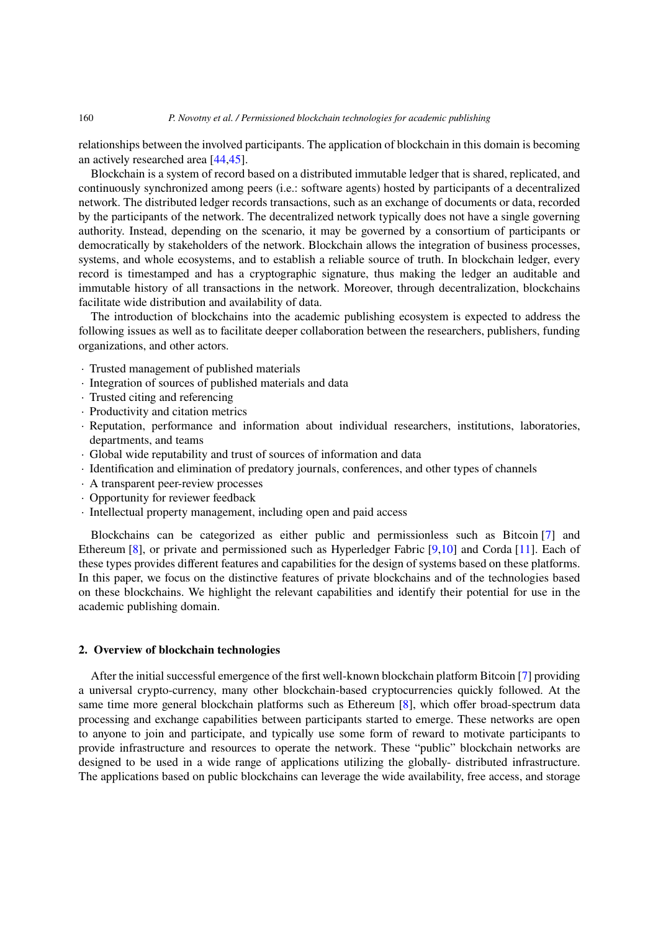relationships between the involved participants. The application of blockchain in this domain is becoming an actively researched area [44,45].

Blockchain is a system of record based on a distributed immutable ledger that is shared, replicated, and continuously synchronized among peers (i.e.: software agents) hosted by participants of a decentralized network. The distributed ledger records transactions, such as an exchange of documents or data, recorded by the participants of the n[etw](#page-12-0)[ork](#page-12-1). The decentralized network typically does not have a single governing authority. Instead, depending on the scenario, it may be governed by a consortium of participants or democratically by stakeholders of the network. Blockchain allows the integration of business processes, systems, and whole ecosystems, and to establish a reliable source of truth. In blockchain ledger, every record is timestamped and has a cryptographic signature, thus making the ledger an auditable and immutable history of all transactions in the network. Moreover, through decentralization, blockchains facilitate wide distribution and availability of data.

The introduction of blockchains into the academic publishing ecosystem is expected to address the following issues as well as to facilitate deeper collaboration between the researchers, publishers, funding organizations, and other actors.

- ∙ Trusted management of published materials
- ∙ Integration of sources of published materials and data
- ∙ Trusted citing and referencing
- ∙ Productivity and citation metrics
- ∙ Reputation, performance and information about individual researchers, institutions, laboratories, departments, and teams
- ∙ Global wide reputability and trust of sources of information and data
- ∙ Identification and elimination of predatory journals, conferences, and other types of channels
- ∙ A transparent peer-review processes
- ∙ Opportunity for reviewer feedback
- ∙ Intellectual property management, including open and paid access

Blockchains can be categorized as either public and permissionless such as Bitcoin [7] and Ethereum [8], or private and permissioned such as Hyperledger Fabric [9,10] and Corda [11]. Each of these types provides different features and capabilities for the design of systems based on these platforms. In this paper, we focus on the distinctive features of private blockchains and of the technologies based on these blockchains. We highlight the relevant capabilities and identify their potential for us[e i](#page-11-0)n the academic [pu](#page-11-1)blishing domain.

# **2. Overview of blockchain technologies**

After the initial successful emergence of the first well-known blockchain platform Bitcoin [7] providing a universal crypto-currency, many other blockchain-based cryptocurrencies quickly followed. At the same time more general blockchain platforms such as Ethereum [8], which offer broad-spectrum data processing and exchange capabilities between participants started to emerge. These networks are open to anyone to join and participate, and typically use some form of reward to motivate pa[rt](#page-11-0)icipants to provide infrastructure and resources to operate the network. These "public" blockchain networks are designed to be used in a wide range of applications utilizing th[e g](#page-11-1)lobally- distributed infrastructure. The applications based on public blockchains can leverage the wide availability, free access, and storage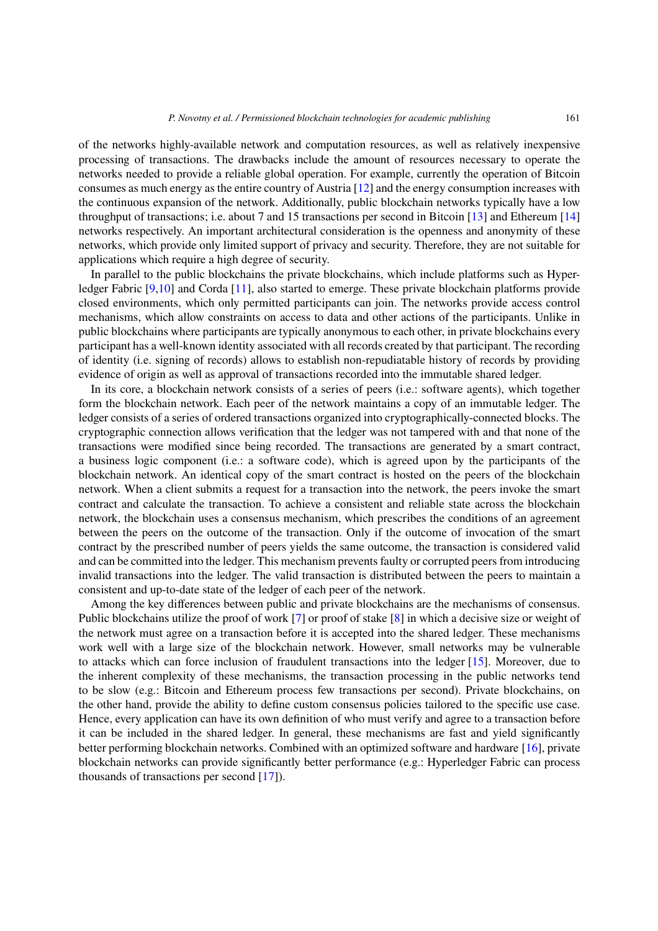of the networks highly-available network and computation resources, as well as relatively inexpensive processing of transactions. The drawbacks include the amount of resources necessary to operate the networks needed to provide a reliable global operation. For example, currently the operation of Bitcoin consumes as much energy as the entire country of Austria [12] and the energy consumption increases with the continuous expansion of the network. Additionally, public blockchain networks typically have a low throughput of transactions; i.e. about 7 and 15 transactions per second in Bitcoin [13] and Ethereum [14] networks respectively. An important architectural consideration is the openness and anonymity of these networks, which provide only limited support of privacy a[nd](#page-11-2) security. Therefore, they are not suitable for applications which require a high degree of security.

In parallel to the public blockchains the private blockchains, which include pl[atfo](#page-11-3)rms such as Hy[per](#page-11-4)ledger Fabric [9,10] and Corda [11], also started to emerge. These private blockchain platforms provide closed environments, which only permitted participants can join. The networks provide access control mechanisms, which allow constraints on access to data and other actions of the participants. Unlike in public blockchains where participants are typically anonymous to each other, in private blockchains every participant has [a](#page-11-5) [we](#page-11-6)ll-known ide[ntit](#page-11-7)y associated with all records created by that participant. The recording of identity (i.e. signing of records) allows to establish non-repudiatable history of records by providing evidence of origin as well as approval of transactions recorded into the immutable shared ledger.

In its core, a blockchain network consists of a series of peers (i.e.: software agents), which together form the blockchain network. Each peer of the network maintains a copy of an immutable ledger. The ledger consists of a series of ordered transactions organized into cryptographically-connected blocks. The cryptographic connection allows verification that the ledger was not tampered with and that none of the transactions were modified since being recorded. The transactions are generated by a smart contract, a business logic component (i.e.: a software code), which is agreed upon by the participants of the blockchain network. An identical copy of the smart contract is hosted on the peers of the blockchain network. When a client submits a request for a transaction into the network, the peers invoke the smart contract and calculate the transaction. To achieve a consistent and reliable state across the blockchain network, the blockchain uses a consensus mechanism, which prescribes the conditions of an agreement between the peers on the outcome of the transaction. Only if the outcome of invocation of the smart contract by the prescribed number of peers yields the same outcome, the transaction is considered valid and can be committed into the ledger. This mechanism prevents faulty or corrupted peers from introducing invalid transactions into the ledger. The valid transaction is distributed between the peers to maintain a consistent and up-to-date state of the ledger of each peer of the network.

Among the key differences between public and private blockchains are the mechanisms of consensus. Public blockchains utilize the proof of work [7] or proof of stake [8] in which a decisive size or weight of the network must agree on a transaction before it is accepted into the shared ledger. These mechanisms work well with a large size of the blockchain network. However, small networks may be vulnerable to attacks which can force inclusion of fraudulent transactions into the ledger [15]. Moreover, due to the inherent complexity of these mechanis[ms](#page-11-0), the transaction p[ro](#page-11-1)cessing in the public networks tend to be slow (e.g.: Bitcoin and Ethereum process few transactions per second). Private blockchains, on the other hand, provide the ability to define custom consensus policies tailored to the specific use case. Hence, every application can have its own definition of who must verify and agree [to](#page-11-8) a transaction before it can be included in the shared ledger. In general, these mechanisms are fast and yield significantly better performing blockchain networks. Combined with an optimized software and hardware [16], private blockchain networks can provide significantly better performance (e.g.: Hyperledger Fabric can process thousands of transactions per second [17]).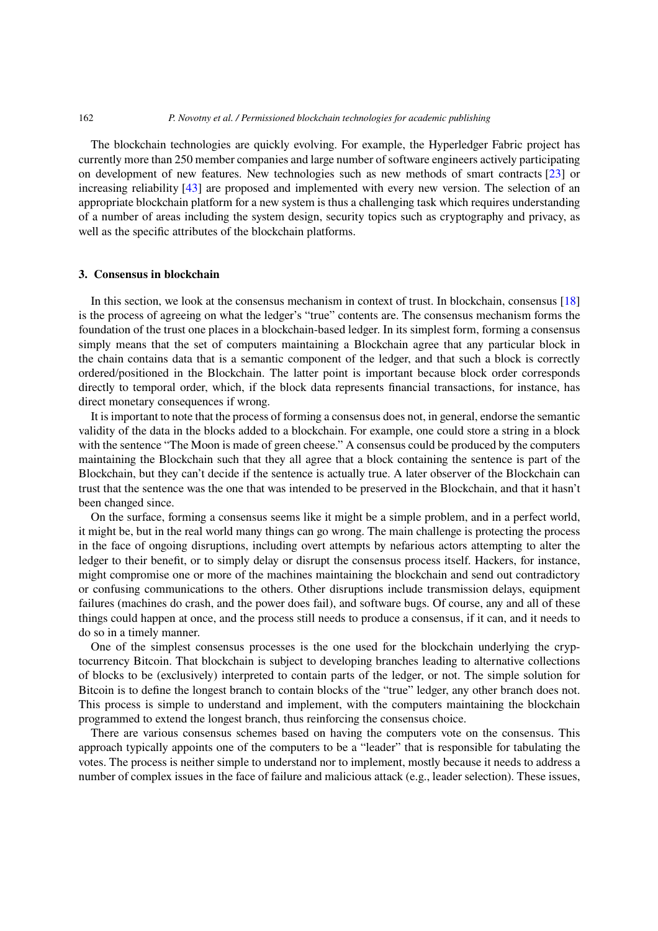The blockchain technologies are quickly evolving. For example, the Hyperledger Fabric project has currently more than 250 member companies and large number of software engineers actively participating on development of new features. New technologies such as new methods of smart contracts [23] or increasing reliability [43] are proposed and implemented with every new version. The selection of an appropriate blockchain platform for a new system is thus a challenging task which requires understanding of a number of areas including the system design, security topics such as cryptography and privacy, as well as the specific attributes of the blockchain platforms.

#### **3. Consensus in blockchain**

In this section, we look at the consensus mechanism in context of trust. In blockchain, consensus [18] is the process of agreeing on what the ledger's "true" contents are. The consensus mechanism forms the foundation of the trust one places in a blockchain-based ledger. In its simplest form, forming a consensus simply means that the set of computers maintaining a Blockchain agree that any particular block in the chain contains data that is a semantic component of the ledger, and that such a block is corre[ctly](#page-11-9) ordered/positioned in the Blockchain. The latter point is important because block order corresponds directly to temporal order, which, if the block data represents financial transactions, for instance, has direct monetary consequences if wrong.

It is important to note that the process of forming a consensus does not, in general, endorse the semantic validity of the data in the blocks added to a blockchain. For example, one could store a string in a block with the sentence "The Moon is made of green cheese." A consensus could be produced by the computers maintaining the Blockchain such that they all agree that a block containing the sentence is part of the Blockchain, but they can't decide if the sentence is actually true. A later observer of the Blockchain can trust that the sentence was the one that was intended to be preserved in the Blockchain, and that it hasn't been changed since.

On the surface, forming a consensus seems like it might be a simple problem, and in a perfect world, it might be, but in the real world many things can go wrong. The main challenge is protecting the process in the face of ongoing disruptions, including overt attempts by nefarious actors attempting to alter the ledger to their benefit, or to simply delay or disrupt the consensus process itself. Hackers, for instance, might compromise one or more of the machines maintaining the blockchain and send out contradictory or confusing communications to the others. Other disruptions include transmission delays, equipment failures (machines do crash, and the power does fail), and software bugs. Of course, any and all of these things could happen at once, and the process still needs to produce a consensus, if it can, and it needs to do so in a timely manner.

One of the simplest consensus processes is the one used for the blockchain underlying the cryptocurrency Bitcoin. That blockchain is subject to developing branches leading to alternative collections of blocks to be (exclusively) interpreted to contain parts of the ledger, or not. The simple solution for Bitcoin is to define the longest branch to contain blocks of the "true" ledger, any other branch does not. This process is simple to understand and implement, with the computers maintaining the blockchain programmed to extend the longest branch, thus reinforcing the consensus choice.

There are various consensus schemes based on having the computers vote on the consensus. This approach typically appoints one of the computers to be a "leader" that is responsible for tabulating the votes. The process is neither simple to understand nor to implement, mostly because it needs to address a number of complex issues in the face of failure and malicious attack (e.g., leader selection). These issues,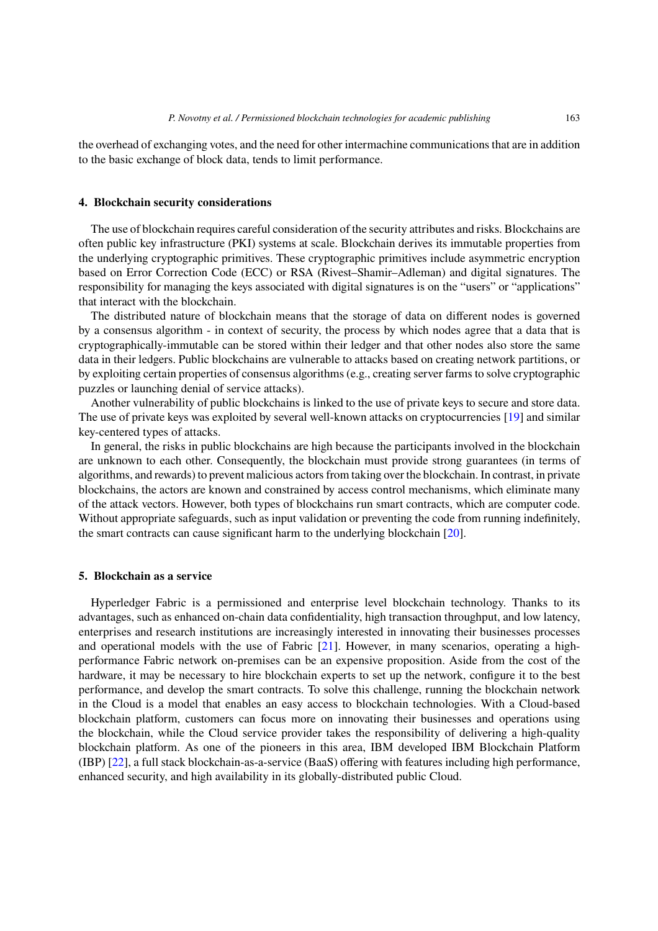the overhead of exchanging votes, and the need for other intermachine communications that are in addition to the basic exchange of block data, tends to limit performance.

#### **4. Blockchain security considerations**

The use of blockchain requires careful consideration of the security attributes and risks. Blockchains are often public key infrastructure (PKI) systems at scale. Blockchain derives its immutable properties from the underlying cryptographic primitives. These cryptographic primitives include asymmetric encryption based on Error Correction Code (ECC) or RSA (Rivest–Shamir–Adleman) and digital signatures. The responsibility for managing the keys associated with digital signatures is on the "users" or "applications" that interact with the blockchain.

The distributed nature of blockchain means that the storage of data on different nodes is governed by a consensus algorithm - in context of security, the process by which nodes agree that a data that is cryptographically-immutable can be stored within their ledger and that other nodes also store the same data in their ledgers. Public blockchains are vulnerable to attacks based on creating network partitions, or by exploiting certain properties of consensus algorithms (e.g., creating server farms to solve cryptographic puzzles or launching denial of service attacks).

Another vulnerability of public blockchains is linked to the use of private keys to secure and store data. The use of private keys was exploited by several well-known attacks on cryptocurrencies [19] and similar key-centered types of attacks.

In general, the risks in public blockchains are high because the participants involved in the blockchain are unknown to each other. Consequently, the blockchain must provide strong guarantees (in terms of algorithms, and rewards) to prevent malicious actors from taking over the blockchain. In co[ntra](#page-11-10)st, in private blockchains, the actors are known and constrained by access control mechanisms, which eliminate many of the attack vectors. However, both types of blockchains run smart contracts, which are computer code. Without appropriate safeguards, such as input validation or preventing the code from running indefinitely, the smart contracts can cause significant harm to the underlying blockchain [20].

### **5. Blockchain as a service**

Hyperledger Fabric is a permissioned and enterprise level blockchain technology. Thanks to its advantages, such as enhanced on-chain data confidentiality, high transaction throughput, and low latency, enterprises and research institutions are increasingly interested in innovating their businesses processes and operational models with the use of Fabric [21]. However, in many scenarios, operating a highperformance Fabric network on-premises can be an expensive proposition. Aside from the cost of the hardware, it may be necessary to hire blockchain experts to set up the network, configure it to the best performance, and develop the smart contracts. To solve this challenge, running the blockchain network in the Cloud is a model that enables an easy ac[cess](#page-11-11) to blockchain technologies. With a Cloud-based blockchain platform, customers can focus more on innovating their businesses and operations using the blockchain, while the Cloud service provider takes the responsibility of delivering a high-quality blockchain platform. As one of the pioneers in this area, IBM developed IBM Blockchain Platform (IBP) [22], a full stack blockchain-as-a-service (BaaS) offering with features including high performance, enhanced security, and high availability in its globally-distributed public Cloud.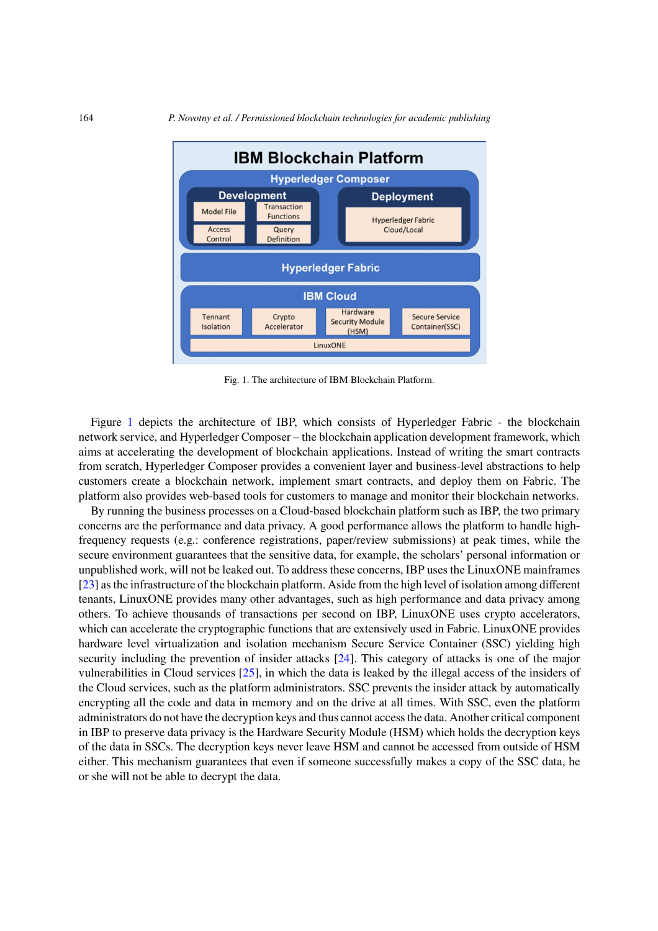<span id="page-5-0"></span>

Fig. 1. The architecture of IBM Blockchain Platform.

Figure 1 depicts the architecture of IBP, which consists of Hyperledger Fabric - the blockchain network service, and Hyperledger Composer – the blockchain application development framework, which aims at accelerating the development of blockchain applications. Instead of writing the smart contracts from scratch, Hyperledger Composer provides a convenient layer and business-level abstractions to help customers [c](#page-5-0)reate a blockchain network, implement smart contracts, and deploy them on Fabric. The platform also provides web-based tools for customers to manage and monitor their blockchain networks.

By running the business processes on a Cloud-based blockchain platform such as IBP, the two primary concerns are the performance and data privacy. A good performance allows the platform to handle highfrequency requests (e.g.: conference registrations, paper/review submissions) at peak times, while the secure environment guarantees that the sensitive data, for example, the scholars' personal information or unpublished work, will not be leaked out. To address these concerns, IBP uses the LinuxONE mainframes [23] as the infrastructure of the blockchain platform. Aside from the high level of isolation among different tenants, LinuxONE provides many other advantages, such as high performance and data privacy among others. To achieve thousands of transactions per second on IBP, LinuxONE uses crypto accelerators, which can accelerate the cryptographic functions that are extensively used in Fabric. LinuxONE provides [hard](#page-11-12)ware level virtualization and isolation mechanism Secure Service Container (SSC) yielding high security including the prevention of insider attacks [24]. This category of attacks is one of the major vulnerabilities in Cloud services [25], in which the data is leaked by the illegal access of the insiders of the Cloud services, such as the platform administrators. SSC prevents the insider attack by automatically encrypting all the code and data in memory and on the drive at all times. With SSC, even the platform administrators do not have the decryption keys and thu[s ca](#page-12-2)nnot access the data. Another critical component in IBP to preserve data privacy is t[he](#page-12-3) Hardware Security Module (HSM) which holds the decryption keys of the data in SSCs. The decryption keys never leave HSM and cannot be accessed from outside of HSM either. This mechanism guarantees that even if someone successfully makes a copy of the SSC data, he or she will not be able to decrypt the data.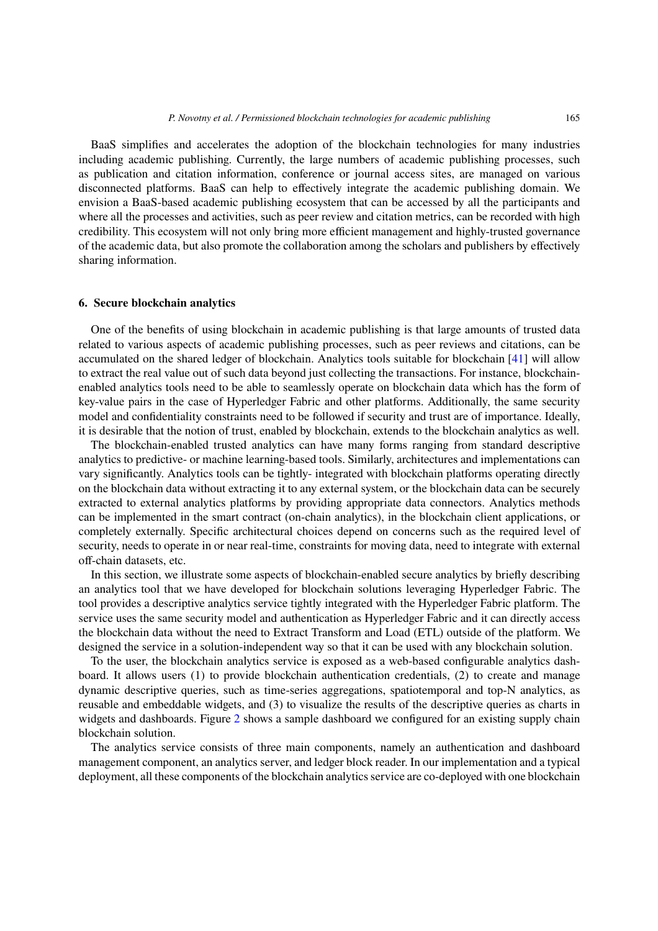BaaS simplifies and accelerates the adoption of the blockchain technologies for many industries including academic publishing. Currently, the large numbers of academic publishing processes, such as publication and citation information, conference or journal access sites, are managed on various disconnected platforms. BaaS can help to effectively integrate the academic publishing domain. We envision a BaaS-based academic publishing ecosystem that can be accessed by all the participants and where all the processes and activities, such as peer review and citation metrics, can be recorded with high credibility. This ecosystem will not only bring more efficient management and highly-trusted governance of the academic data, but also promote the collaboration among the scholars and publishers by effectively sharing information.

# **6. Secure blockchain analytics**

One of the benefits of using blockchain in academic publishing is that large amounts of trusted data related to various aspects of academic publishing processes, such as peer reviews and citations, can be accumulated on the shared ledger of blockchain. Analytics tools suitable for blockchain [41] will allow to extract the real value out of such data beyond just collecting the transactions. For instance, blockchainenabled analytics tools need to be able to seamlessly operate on blockchain data which has the form of key-value pairs in the case of Hyperledger Fabric and other platforms. Additionally, the same security model and confidentiality constraints need to be followed if security and trust are of impo[rtan](#page-12-4)ce. Ideally, it is desirable that the notion of trust, enabled by blockchain, extends to the blockchain analytics as well.

The blockchain-enabled trusted analytics can have many forms ranging from standard descriptive analytics to predictive- or machine learning-based tools. Similarly, architectures and implementations can vary significantly. Analytics tools can be tightly- integrated with blockchain platforms operating directly on the blockchain data without extracting it to any external system, or the blockchain data can be securely extracted to external analytics platforms by providing appropriate data connectors. Analytics methods can be implemented in the smart contract (on-chain analytics), in the blockchain client applications, or completely externally. Specific architectural choices depend on concerns such as the required level of security, needs to operate in or near real-time, constraints for moving data, need to integrate with external off-chain datasets, etc.

In this section, we illustrate some aspects of blockchain-enabled secure analytics by briefly describing an analytics tool that we have developed for blockchain solutions leveraging Hyperledger Fabric. The tool provides a descriptive analytics service tightly integrated with the Hyperledger Fabric platform. The service uses the same security model and authentication as Hyperledger Fabric and it can directly access the blockchain data without the need to Extract Transform and Load (ETL) outside of the platform. We designed the service in a solution-independent way so that it can be used with any blockchain solution.

To the user, the blockchain analytics service is exposed as a web-based configurable analytics dashboard. It allows users (1) to provide blockchain authentication credentials, (2) to create and manage dynamic descriptive queries, such as time-series aggregations, spatiotemporal and top-N analytics, as reusable and embeddable widgets, and (3) to visualize the results of the descriptive queries as charts in widgets and dashboards. Figure 2 shows a sample dashboard we configured for an existing supply chain blockchain solution.

The analytics service consists of three main components, namely an authentication and dashboard management component, an analytics server, and ledger block reader. In our implementation and a typical deployment, all these componen[ts](#page-7-0) of the blockchain analytics service are co-deployed with one blockchain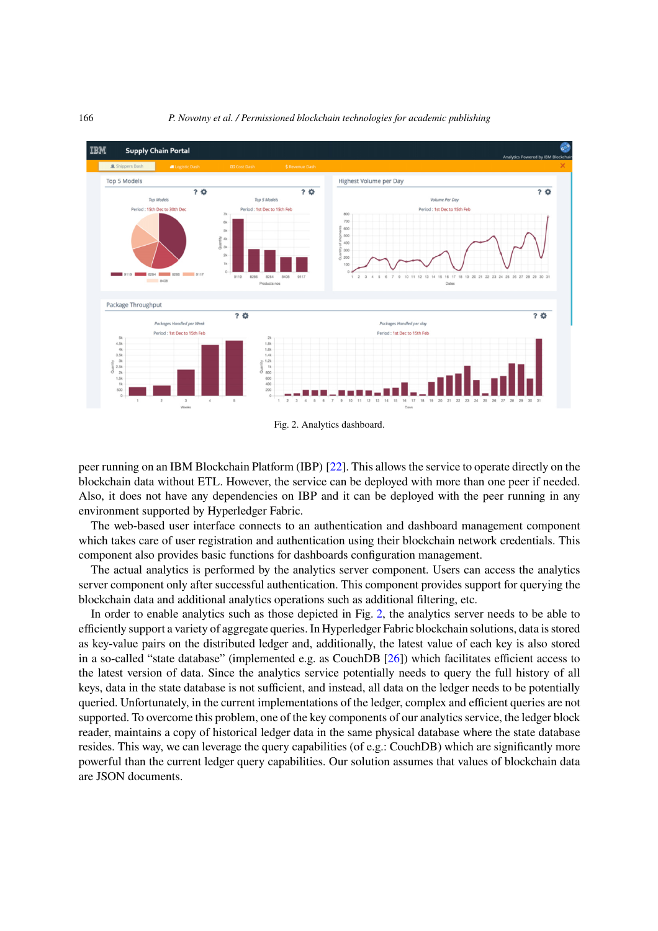<span id="page-7-0"></span>

Fig. 2. Analytics dashboard.

peer running on an IBM Blockchain Platform (IBP) [22]. This allows the service to operate directly on the blockchain data without ETL. However, the service can be deployed with more than one peer if needed. Also, it does not have any dependencies on IBP and it can be deployed with the peer running in any environment supported by Hyperledger Fabric.

The web-based user interface connects to an aut[hen](#page-11-13)tication and dashboard management component which takes care of user registration and authentication using their blockchain network credentials. This component also provides basic functions for dashboards configuration management.

The actual analytics is performed by the analytics server component. Users can access the analytics server component only after successful authentication. This component provides support for querying the blockchain data and additional analytics operations such as additional filtering, etc.

In order to enable analytics such as those depicted in Fig. 2, the analytics server needs to be able to efficiently support a variety of aggregate queries. In Hyperledger Fabric blockchain solutions, data is stored as key-value pairs on the distributed ledger and, additionally, the latest value of each key is also stored in a so-called "state database" (implemented e.g. as CouchDB [26]) which facilitates efficient access to the latest version of data. Since the analytics service potent[ial](#page-7-0)ly needs to query the full history of all keys, data in the state database is not sufficient, and instead, all data on the ledger needs to be potentially queried. Unfortunately, in the current implementations of the ledger, complex and efficient queries are not supported. To overcome this problem, one of the key components [of](#page-12-5) our analytics service, the ledger block reader, maintains a copy of historical ledger data in the same physical database where the state database resides. This way, we can leverage the query capabilities (of e.g.: CouchDB) which are significantly more powerful than the current ledger query capabilities. Our solution assumes that values of blockchain data are JSON documents.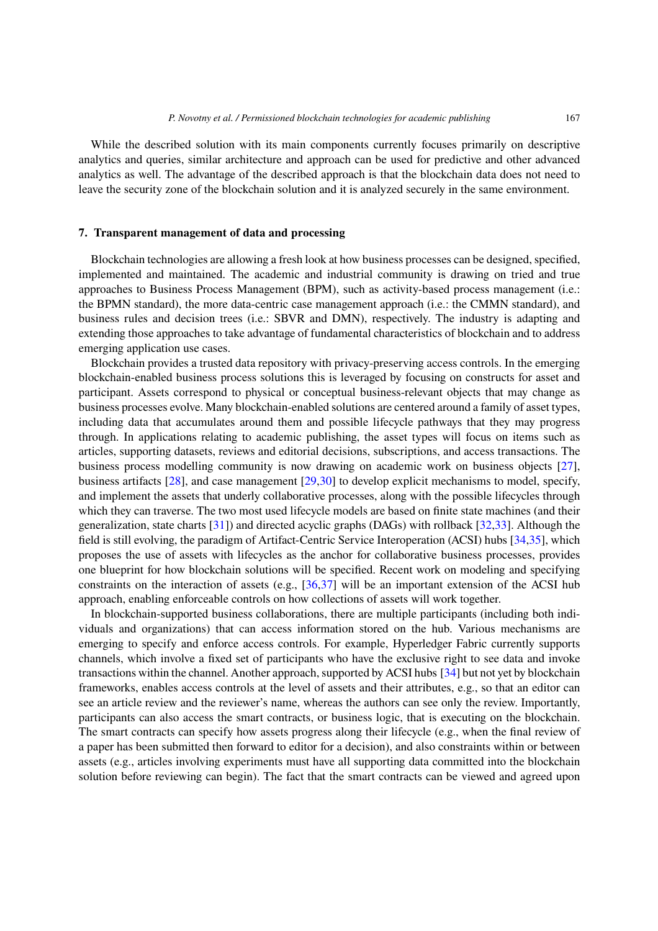While the described solution with its main components currently focuses primarily on descriptive analytics and queries, similar architecture and approach can be used for predictive and other advanced analytics as well. The advantage of the described approach is that the blockchain data does not need to leave the security zone of the blockchain solution and it is analyzed securely in the same environment.

#### **7. Transparent management of data and processing**

Blockchain technologies are allowing a fresh look at how business processes can be designed, specified, implemented and maintained. The academic and industrial community is drawing on tried and true approaches to Business Process Management (BPM), such as activity-based process management (i.e.: the BPMN standard), the more data-centric case management approach (i.e.: the CMMN standard), and business rules and decision trees (i.e.: SBVR and DMN), respectively. The industry is adapting and extending those approaches to take advantage of fundamental characteristics of blockchain and to address emerging application use cases.

Blockchain provides a trusted data repository with privacy-preserving access controls. In the emerging blockchain-enabled business process solutions this is leveraged by focusing on constructs for asset and participant. Assets correspond to physical or conceptual business-relevant objects that may change as business processes evolve. Many blockchain-enabled solutions are centered around a family of asset types, including data that accumulates around them and possible lifecycle pathways that they may progress through. In applications relating to academic publishing, the asset types will focus on items such as articles, supporting datasets, reviews and editorial decisions, subscriptions, and access transactions. The business process modelling community is now drawing on academic work on business objects [27], business artifacts [28], and case management [29,30] to develop explicit mechanisms to model, specify, and implement the assets that underly collaborative processes, along with the possible lifecycles through which they can traverse. The two most used lifecycle models are based on finite state machines (and their generalization, state charts [31]) and directed acyclic graphs (DAGs) with rollback [32,33]. Althoug[h th](#page-12-6)e field is still evolvin[g, t](#page-12-7)he paradigm of Artifact-[Cen](#page-12-8)[tric](#page-12-9) Service Interoperation (ACSI) hubs [34,35], which proposes the use of assets with lifecycles as the anchor for collaborative business processes, provides one blueprint for how blockchain solutions will be specified. Recent work on modeling and specifying constraints on the interacti[on](#page-12-10) of assets (e.g., [36,37] will be an important extens[ion](#page-12-11) [of](#page-12-12) the ACSI hub approach, enabling enforceable controls on how collections of assets will work together.

In blockchain-supported business collaborations, there are multiple participants (including both individuals and organizations) that can access information stored on the hub. Various mechanisms are emerging to specify and enforce access contr[ols.](#page-12-13) [Fo](#page-12-14)r example, Hyperledger Fabric currently supports channels, which involve a fixed set of participants who have the exclusive right to see data and invoke transactions within the channel. Another approach, supported by ACSI hubs [34] but not yet by blockchain frameworks, enables access controls at the level of assets and their attributes, e.g., so that an editor can see an article review and the reviewer's name, whereas the authors can see only the review. Importantly, participants can also access the smart contracts, or business logic, that is executing on the blockchain. The smart contracts can specify how assets progress along their lifecycle (e[.g.,](#page-12-15) when the final review of a paper has been submitted then forward to editor for a decision), and also constraints within or between assets (e.g., articles involving experiments must have all supporting data committed into the blockchain solution before reviewing can begin). The fact that the smart contracts can be viewed and agreed upon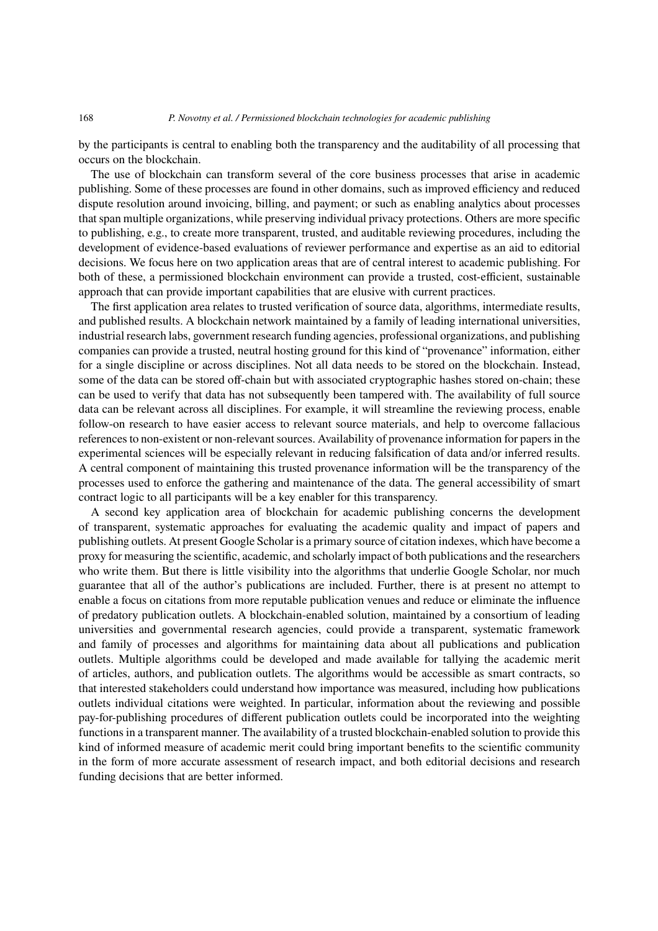by the participants is central to enabling both the transparency and the auditability of all processing that occurs on the blockchain.

The use of blockchain can transform several of the core business processes that arise in academic publishing. Some of these processes are found in other domains, such as improved efficiency and reduced dispute resolution around invoicing, billing, and payment; or such as enabling analytics about processes that span multiple organizations, while preserving individual privacy protections. Others are more specific to publishing, e.g., to create more transparent, trusted, and auditable reviewing procedures, including the development of evidence-based evaluations of reviewer performance and expertise as an aid to editorial decisions. We focus here on two application areas that are of central interest to academic publishing. For both of these, a permissioned blockchain environment can provide a trusted, cost-efficient, sustainable approach that can provide important capabilities that are elusive with current practices.

The first application area relates to trusted verification of source data, algorithms, intermediate results, and published results. A blockchain network maintained by a family of leading international universities, industrial research labs, government research funding agencies, professional organizations, and publishing companies can provide a trusted, neutral hosting ground for this kind of "provenance" information, either for a single discipline or across disciplines. Not all data needs to be stored on the blockchain. Instead, some of the data can be stored off-chain but with associated cryptographic hashes stored on-chain; these can be used to verify that data has not subsequently been tampered with. The availability of full source data can be relevant across all disciplines. For example, it will streamline the reviewing process, enable follow-on research to have easier access to relevant source materials, and help to overcome fallacious references to non-existent or non-relevant sources. Availability of provenance information for papers in the experimental sciences will be especially relevant in reducing falsification of data and/or inferred results. A central component of maintaining this trusted provenance information will be the transparency of the processes used to enforce the gathering and maintenance of the data. The general accessibility of smart contract logic to all participants will be a key enabler for this transparency.

A second key application area of blockchain for academic publishing concerns the development of transparent, systematic approaches for evaluating the academic quality and impact of papers and publishing outlets. At present Google Scholar is a primary source of citation indexes, which have become a proxy for measuring the scientific, academic, and scholarly impact of both publications and the researchers who write them. But there is little visibility into the algorithms that underlie Google Scholar, nor much guarantee that all of the author's publications are included. Further, there is at present no attempt to enable a focus on citations from more reputable publication venues and reduce or eliminate the influence of predatory publication outlets. A blockchain-enabled solution, maintained by a consortium of leading universities and governmental research agencies, could provide a transparent, systematic framework and family of processes and algorithms for maintaining data about all publications and publication outlets. Multiple algorithms could be developed and made available for tallying the academic merit of articles, authors, and publication outlets. The algorithms would be accessible as smart contracts, so that interested stakeholders could understand how importance was measured, including how publications outlets individual citations were weighted. In particular, information about the reviewing and possible pay-for-publishing procedures of different publication outlets could be incorporated into the weighting functions in a transparent manner. The availability of a trusted blockchain-enabled solution to provide this kind of informed measure of academic merit could bring important benefits to the scientific community in the form of more accurate assessment of research impact, and both editorial decisions and research funding decisions that are better informed.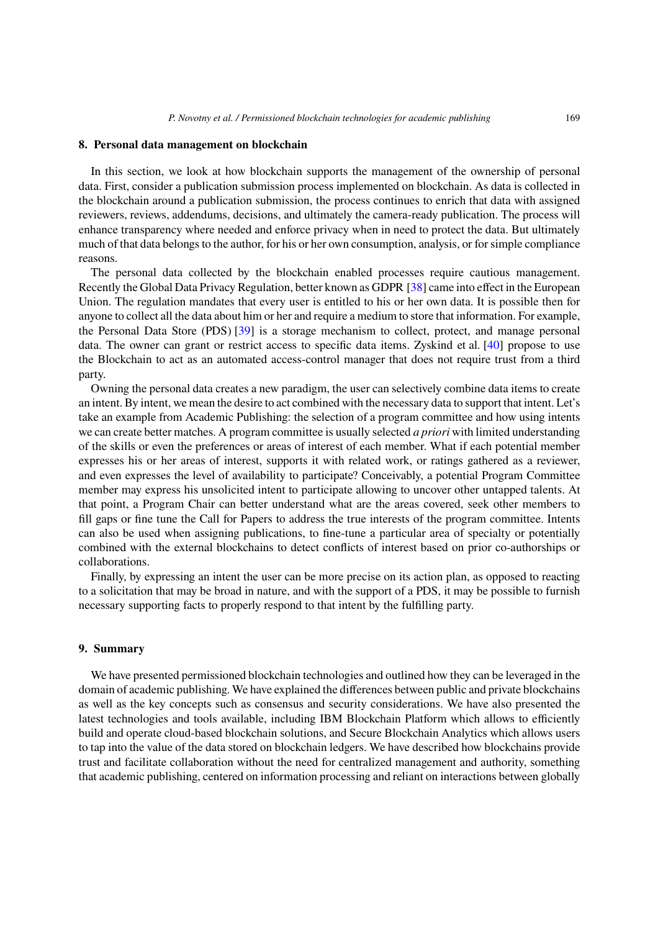## **8. Personal data management on blockchain**

In this section, we look at how blockchain supports the management of the ownership of personal data. First, consider a publication submission process implemented on blockchain. As data is collected in the blockchain around a publication submission, the process continues to enrich that data with assigned reviewers, reviews, addendums, decisions, and ultimately the camera-ready publication. The process will enhance transparency where needed and enforce privacy when in need to protect the data. But ultimately much of that data belongs to the author, for his or her own consumption, analysis, or for simple compliance reasons.

The personal data collected by the blockchain enabled processes require cautious management. Recently the Global Data Privacy Regulation, better known as GDPR [38] came into effect in the European Union. The regulation mandates that every user is entitled to his or her own data. It is possible then for anyone to collect all the data about him or her and require a medium to store that information. For example, the Personal Data Store (PDS) [39] is a storage mechanism to collect, protect, and manage personal data. The owner can grant or restrict access to specific data items. [Zy](#page-12-16)skind et al. [40] propose to use the Blockchain to act as an automated access-control manager that does not require trust from a third party.

Owning the personal data creat[es](#page-12-17) a new paradigm, the user can selectively combine data items to create an intent. By intent, we mean the desire to act combined with the necessary data to sup[port](#page-12-18) that intent. Let's take an example from Academic Publishing: the selection of a program committee and how using intents we can create better matches. A program committee is usually selected *a priori* with limited understanding of the skills or even the preferences or areas of interest of each member. What if each potential member expresses his or her areas of interest, supports it with related work, or ratings gathered as a reviewer, and even expresses the level of availability to participate? Conceivably, a potential Program Committee member may express his unsolicited intent to participate allowing to uncover other untapped talents. At that point, a Program Chair can better understand what are the areas covered, seek other members to fill gaps or fine tune the Call for Papers to address the true interests of the program committee. Intents can also be used when assigning publications, to fine-tune a particular area of specialty or potentially combined with the external blockchains to detect conflicts of interest based on prior co-authorships or collaborations.

Finally, by expressing an intent the user can be more precise on its action plan, as opposed to reacting to a solicitation that may be broad in nature, and with the support of a PDS, it may be possible to furnish necessary supporting facts to properly respond to that intent by the fulfilling party.

# **9. Summary**

We have presented permissioned blockchain technologies and outlined how they can be leveraged in the domain of academic publishing. We have explained the differences between public and private blockchains as well as the key concepts such as consensus and security considerations. We have also presented the latest technologies and tools available, including IBM Blockchain Platform which allows to efficiently build and operate cloud-based blockchain solutions, and Secure Blockchain Analytics which allows users to tap into the value of the data stored on blockchain ledgers. We have described how blockchains provide trust and facilitate collaboration without the need for centralized management and authority, something that academic publishing, centered on information processing and reliant on interactions between globally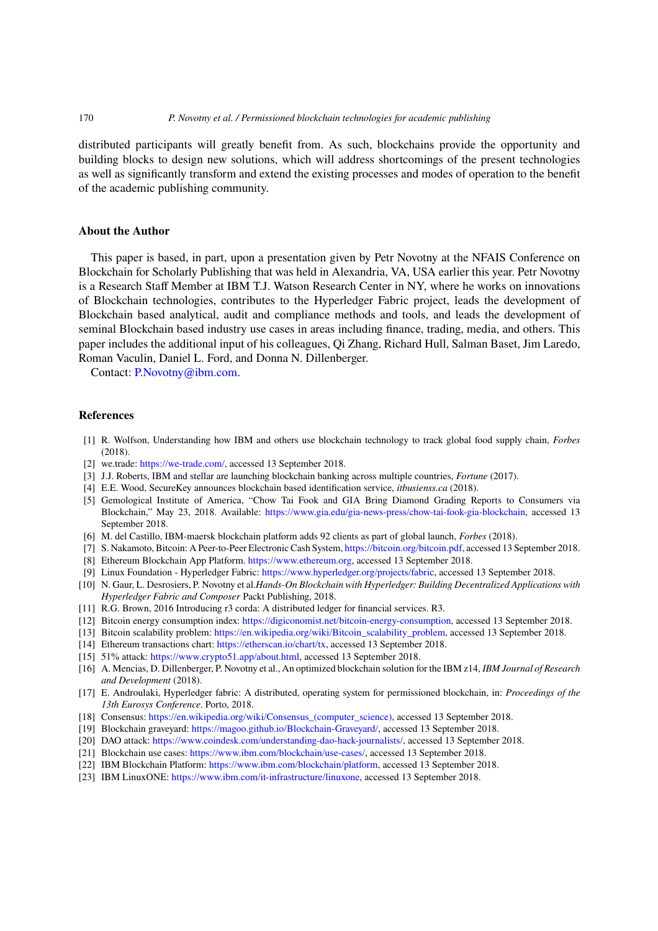distributed participants will greatly benefit from. As such, blockchains provide the opportunity and building blocks to design new solutions, which will address shortcomings of the present technologies as well as significantly transform and extend the existing processes and modes of operation to the benefit of the academic publishing community.

### **About the Author**

This paper is based, in part, upon a presentation given by Petr Novotny at the NFAIS Conference on Blockchain for Scholarly Publishing that was held in Alexandria, VA, USA earlier this year. Petr Novotny is a Research Staff Member at IBM T.J. Watson Research Center in NY, where he works on innovations of Blockchain technologies, contributes to the Hyperledger Fabric project, leads the development of Blockchain based analytical, audit and compliance methods and tools, and leads the development of seminal Blockchain based industry use cases in areas including finance, trading, media, and others. This paper includes the additional input of his colleagues, Qi Zhang, Richard Hull, Salman Baset, Jim Laredo, Roman Vaculin, Daniel L. Ford, and Donna N. Dillenberger.

Contact: P.Novotny@ibm.com.

#### **References**

- [1] R. Wolf[son, Understanding how IB](mailto:P.Novotny@ibm.com)M and others use blockchain technology to track global food supply chain, *Forbes* (2018).
- [2] we.trade: https://we-trade.com/, accessed 13 September 2018.
- [3] J.J. Roberts, IBM and stellar are launching blockchain banking across multiple countries, *Fortune* (2017).
- [4] E.E. Wood, SecureKey announces blockchain based identification service, *itbusienss.ca* (2018).
- [5] Gemological Institute of America, "Chow Tai Fook and GIA Bring Diamond Grading Reports to Consumers via Blockchain," May 23, 2018. Available: https://www.gia.edu/gia-news-press/chow-tai-fook-gia-blockchain, accessed 13 Septembe[r 2018.](https://we-trade.com/)
- [6] M. del Castillo, IBM-maersk blockchain platform adds 92 clients as part of global launch, *Forbes* (2018).
- [7] S. Nakamoto, Bitcoin: A Peer-to-Peer Electronic Cash System, https://bitcoin.org/bitcoin.pdf, accessed 13 September 2018.
- [8] Ethereum Blockchain App Platform. https://www.ethereum.org, accessed 13 September 2018.
- [9] Linux Foundation Hyperledger Fabric: [https://www.hyperledger.org/projects/fabric, accessed 13 Septembe](https://www.gia.edu/gia-news-press/chow-tai-fook-gia-blockchain)r 2018.
- [10] N. Gaur, L. Desrosiers, P. Novotny et al.*Hands-On Blockchain with Hyperledger: Building Decentralized Applications with Hyperledger Fabric and Composer* Packt Publishing, 2018.
- <span id="page-11-1"></span><span id="page-11-0"></span>[11] R.G. Brown, 2016 Introducing r3 corda: A distributed ledger [for financial services. R3.](https://bitcoin.org/bitcoin.pdf)
- <span id="page-11-5"></span>[12] Bitcoin energy consumption index: h[ttps://digiconomist.net/bitc](https://www.ethereum.org)oin-energy-consumption, accessed 13 September 2018.
- <span id="page-11-6"></span>[13] Bitcoin scalability problem: https://en.w[ikipedia.org/wiki/Bitcoin\\_scalability\\_proble](https://www.hyperledger.org/projects/fabric)m, accessed 13 September 2018.
- [14] Ethereum transactions chart: https://etherscan.io/chart/tx, accessed 13 September 2018.
- <span id="page-11-7"></span>[15] 51% attack: https://www.crypto51.app/about.html, accessed 13 September 2018.
- <span id="page-11-2"></span>[16] A. Mencias, D. Dillenberger, P. Nov[otny et al., An optimized blockchain solution for the IB](https://digiconomist.net/bitcoin-energy-consumption)M z14, *IBM Journal of Research and Development* (2018).
- <span id="page-11-4"></span><span id="page-11-3"></span>[17] E. Androulaki, Hyperledger [fabric: A distributed, operating system for permissioned b](https://en.wikipedia.org/wiki/Bitcoin_scalability_problem)lockchain, in: *Proceedings of the 13th Eurosys Conference*. Po[rto, 2018.](https://etherscan.io/chart/tx)
- <span id="page-11-8"></span>[18] Consensus: [https://en.wikipedia.org/wiki/Consens](https://www.crypto51.app/about.html)us\_(computer\_science), accessed 13 September 2018.
- [19] Blockchain graveyard: https://magoo.github.io/Blockchain-Graveyard/, accessed 13 September 2018.
- [20] DAO attack: https://www.coindesk.com/understanding-dao-hack-journalists/, accessed 13 September 2018.
- [21] Blockchain use cases: https://www.ibm.com/blockchain/use-cases/, accessed 13 September 2018.
- <span id="page-11-9"></span>[22] IBM Blockchain Platform: https://www.ibm.com/blockchain/platform, accessed 13 September 2018.
- <span id="page-11-13"></span><span id="page-11-12"></span><span id="page-11-11"></span><span id="page-11-10"></span>[23] IBM LinuxONE: [https://www.ibm.com/it-infrastructure/linuxone, accesse](https://en.wikipedia.org/wiki/Consensus_(computer_science))d 13 September 2018.